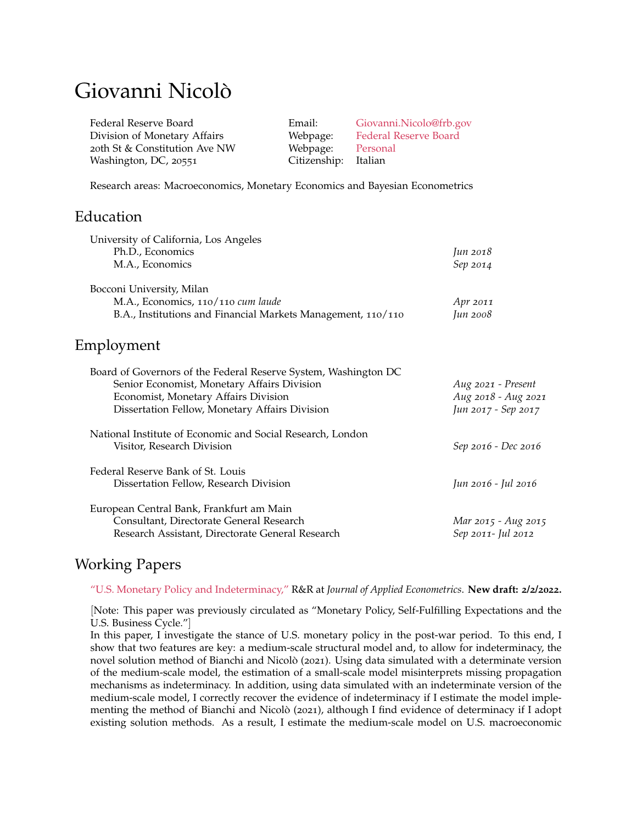# Giovanni Nicolò

| Federal Reserve Board         | Email:               | Giovanni.Nicolo@frb.gov |
|-------------------------------|----------------------|-------------------------|
| Division of Monetary Affairs  | Webpage:             | Federal Reserve Board   |
| 20th St & Constitution Ave NW | Webpage:             | Personal                |
| Washington, DC, 20551         | Citizenship: Italian |                         |

Research areas: Macroeconomics, Monetary Economics and Bayesian Econometrics

### Education

| University of California, Los Angeles                           |                     |
|-----------------------------------------------------------------|---------------------|
| Ph.D., Economics                                                | Jun 2018            |
| M.A., Economics                                                 | Sep 2014            |
| Bocconi University, Milan                                       |                     |
| M.A., Economics, 110/110 cum laude                              | Apr 2011            |
| B.A., Institutions and Financial Markets Management, 110/110    | Jun 2008            |
| Employment                                                      |                     |
| Board of Governors of the Federal Reserve System, Washington DC |                     |
| Senior Economist, Monetary Affairs Division                     | Aug 2021 - Present  |
| Economist, Monetary Affairs Division                            | Aug 2018 - Aug 2021 |
| Dissertation Fellow, Monetary Affairs Division                  | Jun 2017 - Sep 2017 |
| National Institute of Economic and Social Research, London      |                     |
| Visitor, Research Division                                      | Sep 2016 - Dec 2016 |
| Federal Reserve Bank of St. Louis                               |                     |
| Dissertation Fellow, Research Division                          | Jun 2016 - Jul 2016 |
| European Central Bank, Frankfurt am Main                        |                     |
| Consultant, Directorate General Research                        | Mar 2015 - Aug 2015 |
| Research Assistant, Directorate General Research                | Sep 2011- Jul 2012  |

## Working Papers

["U.S. Monetary Policy and Indeterminacy,"](https://giovanninicolo.wordpress.com/research/) R&R at *Journal of Applied Econometrics*. **New draft: 2/2/2022.**

[Note: This paper was previously circulated as "Monetary Policy, Self-Fulfilling Expectations and the U.S. Business Cycle."]

In this paper, I investigate the stance of U.S. monetary policy in the post-war period. To this end, I show that two features are key: a medium-scale structural model and, to allow for indeterminacy, the novel solution method of Bianchi and Nicolò (2021). Using data simulated with a determinate version of the medium-scale model, the estimation of a small-scale model misinterprets missing propagation mechanisms as indeterminacy. In addition, using data simulated with an indeterminate version of the medium-scale model, I correctly recover the evidence of indeterminacy if I estimate the model implementing the method of Bianchi and Nicolò (2021), although I find evidence of determinacy if I adopt existing solution methods. As a result, I estimate the medium-scale model on U.S. macroeconomic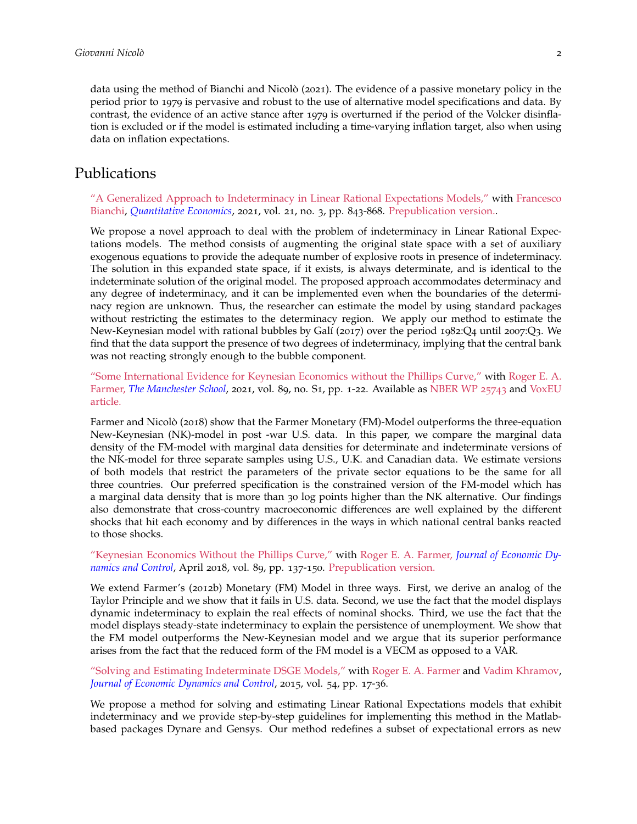data using the method of Bianchi and Nicolò (2021). The evidence of a passive monetary policy in the period prior to 1979 is pervasive and robust to the use of alternative model specifications and data. By contrast, the evidence of an active stance after 1979 is overturned if the period of the Volcker disinflation is excluded or if the model is estimated including a time-varying inflation target, also when using data on inflation expectations.

### Publications

["A Generalized Approach to Indeterminacy in Linear Rational Expectations Models,"](https://onlinelibrary.wiley.com/doi/full/10.3982/QE949) with [Francesco](https://sites.google.com/view/francescobianchi/home) [Bianchi,](https://sites.google.com/view/francescobianchi/home) *Quantitative Economics*, 2021, vol. 21, no. 3, pp. 843-868. [Prepublication version..](https://drive.google.com/file/d/1RMUQ1--zzeIua2NspnPT1Pa5NoISpEs6/view)

We propose a novel approach to deal with the problem of indeterminacy in Linear Rational Expectations models. The method consists of augmenting the original state space with a set of auxiliary exogenous equations to provide the adequate number of explosive roots in presence of indeterminacy. The solution in this expanded state space, if it exists, is always determinate, and is identical to the indeterminate solution of the original model. The proposed approach accommodates determinacy and any degree of indeterminacy, and it can be implemented even when the boundaries of the determinacy region are unknown. Thus, the researcher can estimate the model by using standard packages without restricting the estimates to the determinacy region. We apply our method to estimate the New-Keynesian model with rational bubbles by Galí (2017) over the period 1982:Q4 until 2007:Q3. We find that the data support the presence of two degrees of indeterminacy, implying that the central bank was not reacting strongly enough to the bubble component.

["Some International Evidence for Keynesian Economics without the Phillips Curve,"](https://www.rogerfarmer.com/s/Farmer_Nicolo_International.pdf) with [Roger E. A.](http://www.rogerfarmer.com/) [Farmer,](http://www.rogerfarmer.com/) *The Manchester School*, 2021, vol. 89, no. S1, pp. 1-22. Available as [NBER WP](https://www.nber.org/papers/w25743?utm_campaign=ntwh&utm_medium=email&utm_source=ntwg10) 25743 and [VoxEU](https://voxeu.org/article/international-evidence-keynesian-economics-without-phillips-curve) [article.](https://voxeu.org/article/international-evidence-keynesian-economics-without-phillips-curve)

Farmer and Nicolò (2018) show that the Farmer Monetary (FM)-Model outperforms the three-equation New-Keynesian (NK)-model in post -war U.S. data. In this paper, we compare the marginal data density of the FM-model with marginal data densities for determinate and indeterminate versions of the NK-model for three separate samples using U.S., U.K. and Canadian data. We estimate versions of both models that restrict the parameters of the private sector equations to be the same for all three countries. Our preferred specification is the constrained version of the FM-model which has a marginal data density that is more than 30 log points higher than the NK alternative. Our findings also demonstrate that cross-country macroeconomic differences are well explained by the different shocks that hit each economy and by differences in the ways in which national central banks reacted to those shocks.

#### ["Keynesian Economics Without the Phillips Curve,"](https://www.sciencedirect.com/science/article/pii/S0165188918300125?via%3Dihub) with [Roger E. A. Farmer,](http://www.rogerfarmer.com/) *Journal of Economic Dynamics and Control*, April 2018, vol. 89, pp. 137-150. [Prepublication version.](https://giovanninicolo.files.wordpress.com/2015/08/85431-farmer_nicolo_final_jedcwithreferences.pdf)

We extend Farmer's (2012b) Monetary (FM) Model in three ways. First, we derive an analog of the Taylor Principle and we show that it fails in U.S. data. Second, we use the fact that the model displays dynamic indeterminacy to explain the real effects of nominal shocks. Third, we use the fact that the model displays steady-state indeterminacy to explain the persistence of unemployment. We show that the FM model outperforms the New-Keynesian model and we argue that its superior performance arises from the fact that the reduced form of the FM model is a VECM as opposed to a VAR.

#### ["Solving and Estimating Indeterminate DSGE Models,"](http://www.sciencedirect.com/science/article/pii/S0165188915000317) with [Roger E. A. Farmer](http://www.rogerfarmer.com/) and [Vadim Khramov,](http://vadimkhramov.com/) *Journal of Economic Dynamics and Control*, 2015, vol. 54, pp. 17-36.

We propose a method for solving and estimating Linear Rational Expectations models that exhibit indeterminacy and we provide step-by-step guidelines for implementing this method in the Matlabbased packages Dynare and Gensys. Our method redefines a subset of expectational errors as new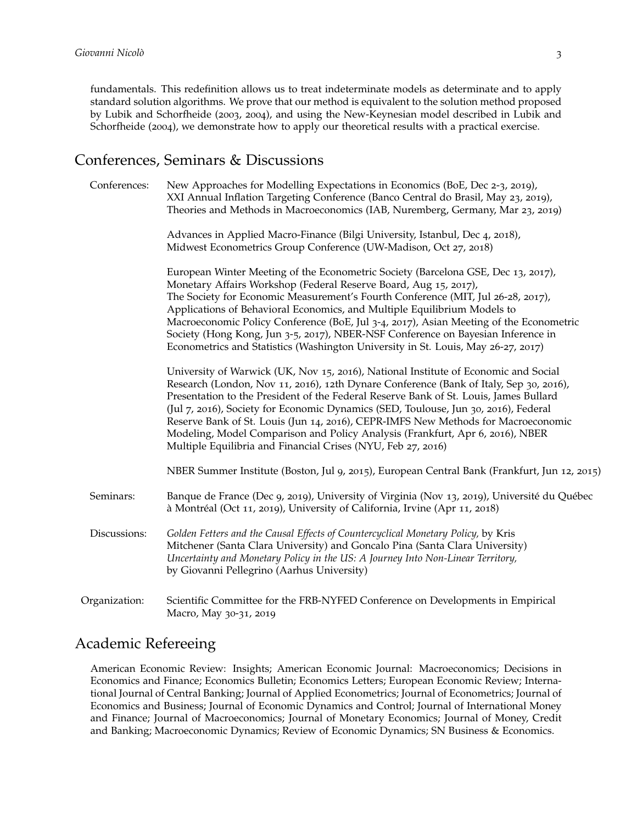fundamentals. This redefinition allows us to treat indeterminate models as determinate and to apply standard solution algorithms. We prove that our method is equivalent to the solution method proposed by Lubik and Schorfheide (2003, 2004), and using the New-Keynesian model described in Lubik and Schorfheide (2004), we demonstrate how to apply our theoretical results with a practical exercise.

#### Conferences, Seminars & Discussions

| Conferences:  | New Approaches for Modelling Expectations in Economics (BoE, Dec 2-3, 2019),<br>XXI Annual Inflation Targeting Conference (Banco Central do Brasil, May 23, 2019),<br>Theories and Methods in Macroeconomics (IAB, Nuremberg, Germany, Mar 23, 2019)                                                                                                                                                                                                                                                                                                                                                |
|---------------|-----------------------------------------------------------------------------------------------------------------------------------------------------------------------------------------------------------------------------------------------------------------------------------------------------------------------------------------------------------------------------------------------------------------------------------------------------------------------------------------------------------------------------------------------------------------------------------------------------|
|               | Advances in Applied Macro-Finance (Bilgi University, Istanbul, Dec 4, 2018),<br>Midwest Econometrics Group Conference (UW-Madison, Oct 27, 2018)                                                                                                                                                                                                                                                                                                                                                                                                                                                    |
|               | European Winter Meeting of the Econometric Society (Barcelona GSE, Dec 13, 2017),<br>Monetary Affairs Workshop (Federal Reserve Board, Aug 15, 2017),<br>The Society for Economic Measurement's Fourth Conference (MIT, Jul 26-28, 2017),<br>Applications of Behavioral Economics, and Multiple Equilibrium Models to<br>Macroeconomic Policy Conference (BoE, Jul 3-4, 2017), Asian Meeting of the Econometric<br>Society (Hong Kong, Jun 3-5, 2017), NBER-NSF Conference on Bayesian Inference in<br>Econometrics and Statistics (Washington University in St. Louis, May 26-27, 2017)            |
|               | University of Warwick (UK, Nov 15, 2016), National Institute of Economic and Social<br>Research (London, Nov 11, 2016), 12th Dynare Conference (Bank of Italy, Sep 30, 2016),<br>Presentation to the President of the Federal Reserve Bank of St. Louis, James Bullard<br>(Jul 7, 2016), Society for Economic Dynamics (SED, Toulouse, Jun 30, 2016), Federal<br>Reserve Bank of St. Louis (Jun 14, 2016), CEPR-IMFS New Methods for Macroeconomic<br>Modeling, Model Comparison and Policy Analysis (Frankfurt, Apr 6, 2016), NBER<br>Multiple Equilibria and Financial Crises (NYU, Feb 27, 2016) |
|               | NBER Summer Institute (Boston, Jul 9, 2015), European Central Bank (Frankfurt, Jun 12, 2015)                                                                                                                                                                                                                                                                                                                                                                                                                                                                                                        |
| Seminars:     | Banque de France (Dec 9, 2019), University of Virginia (Nov 13, 2019), Université du Québec<br>à Montréal (Oct 11, 2019), University of California, Irvine (Apr 11, 2018)                                                                                                                                                                                                                                                                                                                                                                                                                           |
| Discussions:  | Golden Fetters and the Causal Effects of Countercyclical Monetary Policy, by Kris<br>Mitchener (Santa Clara University) and Goncalo Pina (Santa Clara University)<br>Uncertainty and Monetary Policy in the US: A Journey Into Non-Linear Territory,<br>by Giovanni Pellegrino (Aarhus University)                                                                                                                                                                                                                                                                                                  |
| Organization: | Scientific Committee for the FRB-NYFED Conference on Developments in Empirical<br>Macro, May 30-31, 2019                                                                                                                                                                                                                                                                                                                                                                                                                                                                                            |

## Academic Refereeing

American Economic Review: Insights; American Economic Journal: Macroeconomics; Decisions in Economics and Finance; Economics Bulletin; Economics Letters; European Economic Review; International Journal of Central Banking; Journal of Applied Econometrics; Journal of Econometrics; Journal of Economics and Business; Journal of Economic Dynamics and Control; Journal of International Money and Finance; Journal of Macroeconomics; Journal of Monetary Economics; Journal of Money, Credit and Banking; Macroeconomic Dynamics; Review of Economic Dynamics; SN Business & Economics.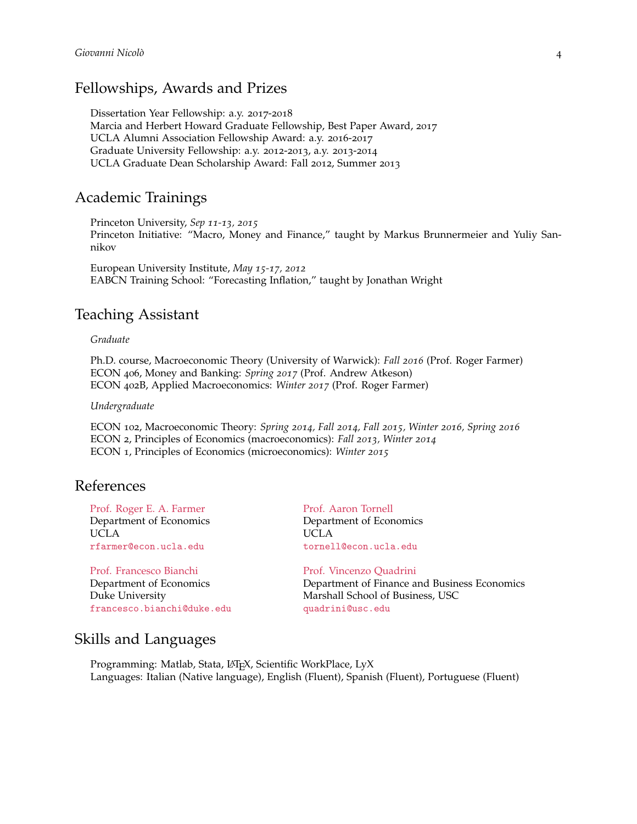### Fellowships, Awards and Prizes

Dissertation Year Fellowship: a.y. 2017-2018 Marcia and Herbert Howard Graduate Fellowship, Best Paper Award, 2017 UCLA Alumni Association Fellowship Award: a.y. 2016-2017 Graduate University Fellowship: a.y. 2012-2013, a.y. 2013-2014 UCLA Graduate Dean Scholarship Award: Fall 2012, Summer 2013

#### Academic Trainings

Princeton University, *Sep 11-13, 2015* Princeton Initiative: "Macro, Money and Finance," taught by Markus Brunnermeier and Yuliy Sannikov

European University Institute, *May 15-17, 2012* EABCN Training School: "Forecasting Inflation," taught by Jonathan Wright

### Teaching Assistant

#### *Graduate*

Ph.D. course, Macroeconomic Theory (University of Warwick): *Fall 2016* (Prof. Roger Farmer) ECON 406, Money and Banking: *Spring 2017* (Prof. Andrew Atkeson) ECON 402B, Applied Macroeconomics: *Winter 2017* (Prof. Roger Farmer)

#### *Undergraduate*

ECON 102, Macroeconomic Theory: *Spring 2014, Fall 2014, Fall 2015, Winter 2016, Spring 2016* ECON 2, Principles of Economics (macroeconomics): *Fall 2013, Winter 2014* ECON 1, Principles of Economics (microeconomics): *Winter 2015*

#### References

[Prof. Roger E. A. Farmer](http://www.rogerfarmer.com/) Department of Economics UCLA [rfarmer@econ.ucla.edu](mailto:rfarmer@econ.ucla.edu)

[Prof. Francesco Bianchi](https://sites.google.com/view/francescobianchi/home) Department of Economics Duke University [francesco.bianchi@duke.edu](mailto:francesco.bianchi@duke.edu) [Prof. Aaron Tornell](http://www.aaron-tornell.com/) Department of Economics UCLA [tornell@econ.ucla.edu](mailto:tornell@econ.ucla.edu)

[Prof. Vincenzo Quadrini](http://www-bcf.usc.edu/~quadrini/) Department of Finance and Business Economics Marshall School of Business, USC [quadrini@usc.edu](mailto:quadrini@usc.edu)

## Skills and Languages

Programming: Matlab, Stata, LATEX, Scientific WorkPlace, LyX Languages: Italian (Native language), English (Fluent), Spanish (Fluent), Portuguese (Fluent)